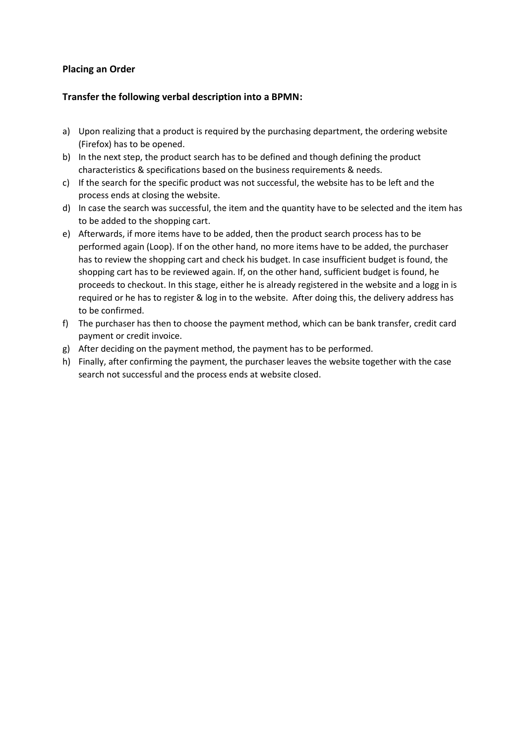## **Placing an Order**

## **Transfer the following verbal description into a BPMN:**

- a) Upon realizing that a product is required by the purchasing department, the ordering website (Firefox) has to be opened.
- b) In the next step, the product search has to be defined and though defining the product characteristics & specifications based on the business requirements & needs.
- c) If the search for the specific product was not successful, the website has to be left and the process ends at closing the website.
- d) In case the search was successful, the item and the quantity have to be selected and the item has to be added to the shopping cart.
- e) Afterwards, if more items have to be added, then the product search process has to be performed again (Loop). If on the other hand, no more items have to be added, the purchaser has to review the shopping cart and check his budget. In case insufficient budget is found, the shopping cart has to be reviewed again. If, on the other hand, sufficient budget is found, he proceeds to checkout. In this stage, either he is already registered in the website and a logg in is required or he has to register & log in to the website. After doing this, the delivery address has to be confirmed.
- f) The purchaser has then to choose the payment method, which can be bank transfer, credit card payment or credit invoice.
- g) After deciding on the payment method, the payment has to be performed.
- h) Finally, after confirming the payment, the purchaser leaves the website together with the case search not successful and the process ends at website closed.